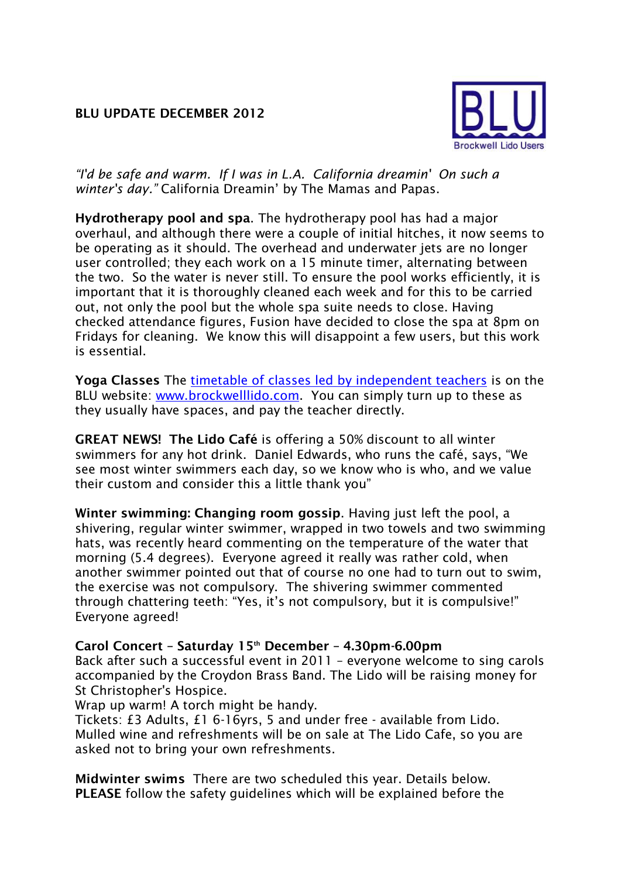## **BLU UPDATE DECEMBER 2012**



*"I'd be safe and warm. If I was in L.A. California dreamin' On such a winter's day."* California Dreamin' by The Mamas and Papas.

**Hydrotherapy pool and spa**. The hydrotherapy pool has had a major overhaul, and although there were a couple of initial hitches, it now seems to be operating as it should. The overhead and underwater jets are no longer user controlled; they each work on a 15 minute timer, alternating between the two. So the water is never still. To ensure the pool works efficiently, it is important that it is thoroughly cleaned each week and for this to be carried out, not only the pool but the whole spa suite needs to close. Having checked attendance figures, Fusion have decided to close the spa at 8pm on Fridays for cleaning. We know this will disappoint a few users, but this work is essential.

Yoga Classes The [timetable of classes led by](http://www.porism.net/blu/images/YogaTimetable201210.jpg) independent teachers is on the BLU website: [www.brockwelllido.com.](www.brockwelllido.com) You can simply turn up to these as they usually have spaces, and pay the teacher directly.

**GREAT NEWS! The Lido Café** is offering a 50% discount to all winter swimmers for any hot drink. Daniel Edwards, who runs the café, says, "We see most winter swimmers each day, so we know who is who, and we value their custom and consider this a little thank you"

**Winter swimming: Changing room gossip**. Having just left the pool, a shivering, regular winter swimmer, wrapped in two towels and two swimming hats, was recently heard commenting on the temperature of the water that morning (5.4 degrees). Everyone agreed it really was rather cold, when another swimmer pointed out that of course no one had to turn out to swim, the exercise was not compulsory. The shivering swimmer commented through chattering teeth: "Yes, it's not compulsory, but it is compulsive!" Everyone agreed!

# **Carol Concert – Saturday 15th December – 4.30pm-6.00pm**

Back after such a successful event in 2011 – everyone welcome to sing carols accompanied by the Croydon Brass Band. The Lido will be raising money for St Christopher's Hospice.

Wrap up warm! A torch might be handy.

Tickets: £3 Adults, £1 6-16yrs, 5 and under free - available from Lido. Mulled wine and refreshments will be on sale at The Lido Cafe, so you are asked not to bring your own refreshments.

**Midwinter swims** There are two scheduled this year. Details below. **PLEASE** follow the safety guidelines which will be explained before the